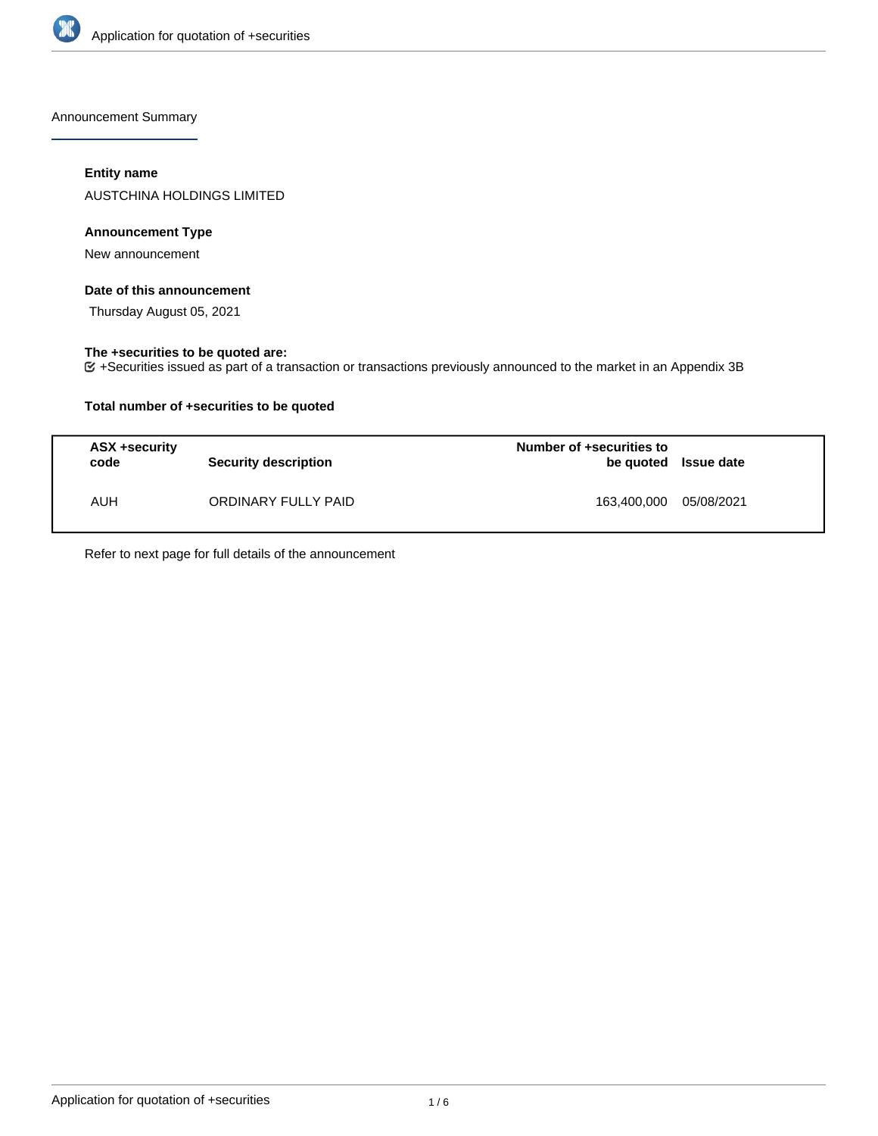

Announcement Summary

## **Entity name**

AUSTCHINA HOLDINGS LIMITED

## **Announcement Type**

New announcement

## **Date of this announcement**

Thursday August 05, 2021

### **The +securities to be quoted are:**

+Securities issued as part of a transaction or transactions previously announced to the market in an Appendix 3B

## **Total number of +securities to be quoted**

| ASX +security<br>code | Security description | Number of +securities to<br>be quoted Issue date |            |
|-----------------------|----------------------|--------------------------------------------------|------------|
| <b>AUH</b>            | ORDINARY FULLY PAID  | 163,400,000                                      | 05/08/2021 |

Refer to next page for full details of the announcement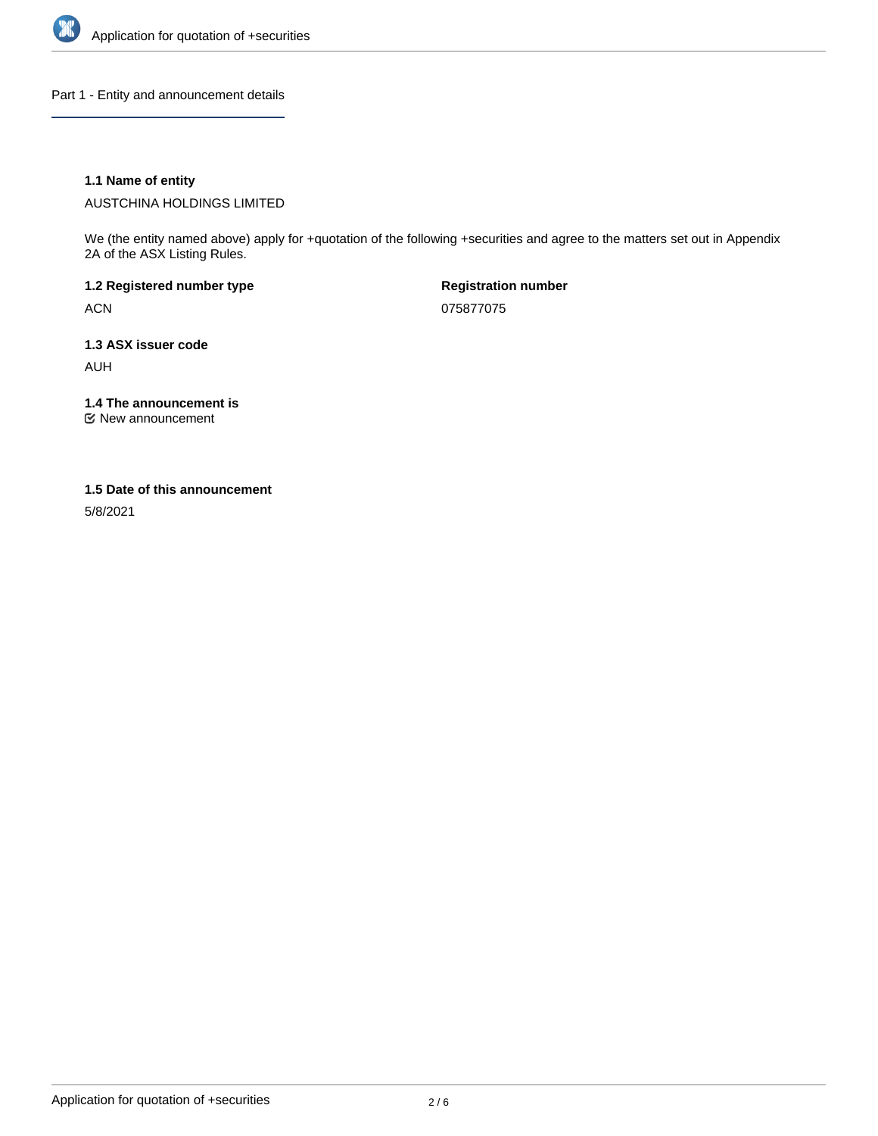

Part 1 - Entity and announcement details

## **1.1 Name of entity**

AUSTCHINA HOLDINGS LIMITED

We (the entity named above) apply for +quotation of the following +securities and agree to the matters set out in Appendix 2A of the ASX Listing Rules.

**1.2 Registered number type** ACN

**Registration number** 075877075

**1.3 ASX issuer code** AUH

**1.4 The announcement is**

New announcement

#### **1.5 Date of this announcement**

5/8/2021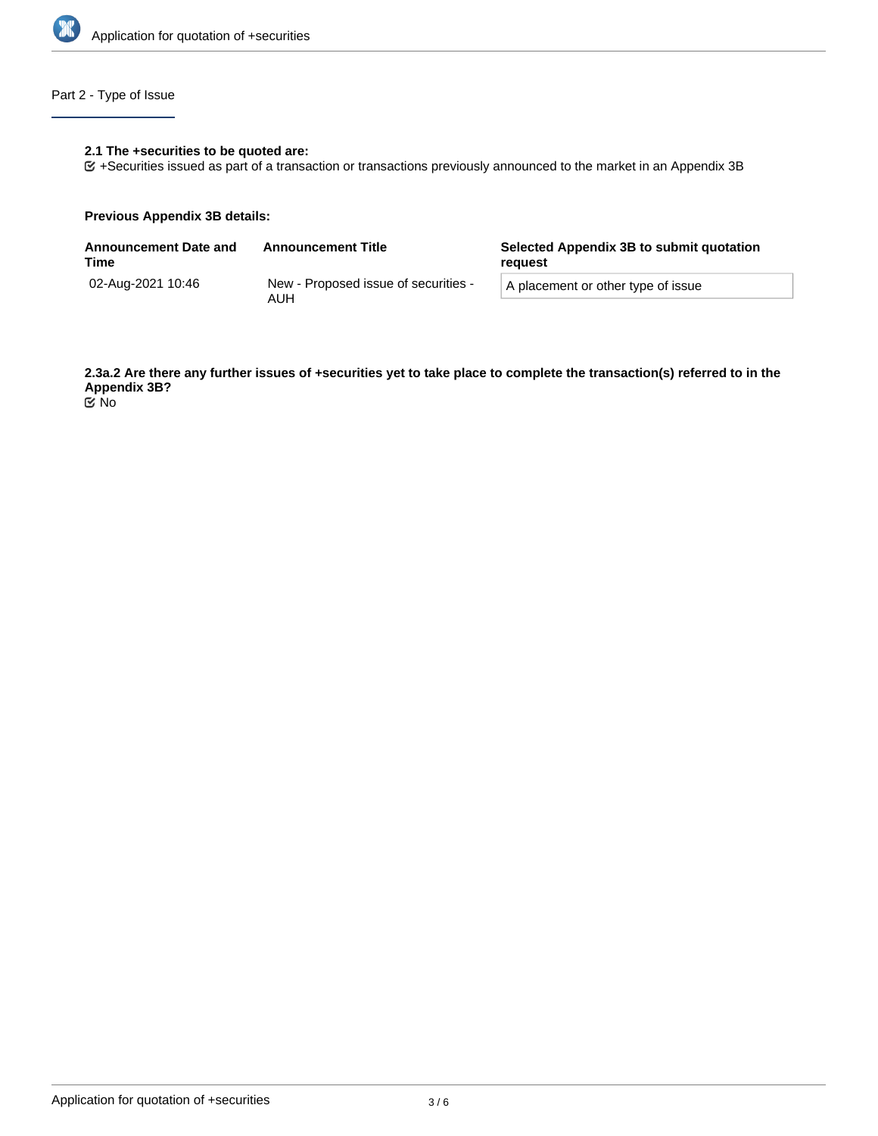

# Part 2 - Type of Issue

## **2.1 The +securities to be quoted are:**

+Securities issued as part of a transaction or transactions previously announced to the market in an Appendix 3B

#### **Previous Appendix 3B details:**

| <b>Announcement Date and</b><br>Time | <b>Announcement Title</b>                   | Selected Appendix 3B to submit quotation<br>reguest |  |
|--------------------------------------|---------------------------------------------|-----------------------------------------------------|--|
| 02-Aug-2021 10:46                    | New - Proposed issue of securities -<br>AUH | A placement or other type of issue                  |  |

**2.3a.2 Are there any further issues of +securities yet to take place to complete the transaction(s) referred to in the Appendix 3B?** No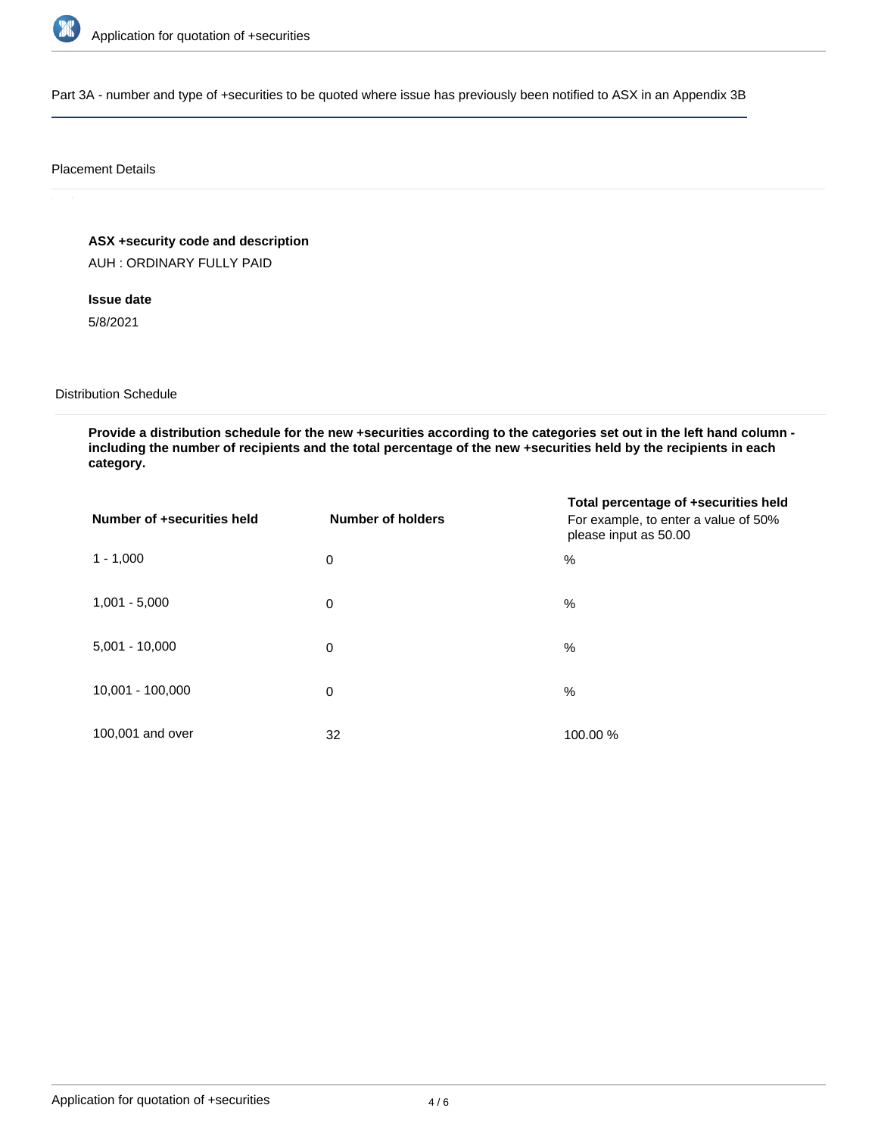

Part 3A - number and type of +securities to be quoted where issue has previously been notified to ASX in an Appendix 3B

#### Placement Details

# **ASX +security code and description**

AUH : ORDINARY FULLY PAID

# **Issue date**

5/8/2021

### Distribution Schedule

**Provide a distribution schedule for the new +securities according to the categories set out in the left hand column including the number of recipients and the total percentage of the new +securities held by the recipients in each category.**

| Number of +securities held | Number of holders | Total percentage of +securities held<br>For example, to enter a value of 50%<br>please input as 50.00 |
|----------------------------|-------------------|-------------------------------------------------------------------------------------------------------|
| $1 - 1,000$                | $\mathbf 0$       | $\%$                                                                                                  |
| $1,001 - 5,000$            | 0                 | $\%$                                                                                                  |
| $5,001 - 10,000$           | 0                 | $\%$                                                                                                  |
| 10,001 - 100,000           | 0                 | $\%$                                                                                                  |
| 100,001 and over           | 32                | 100.00 %                                                                                              |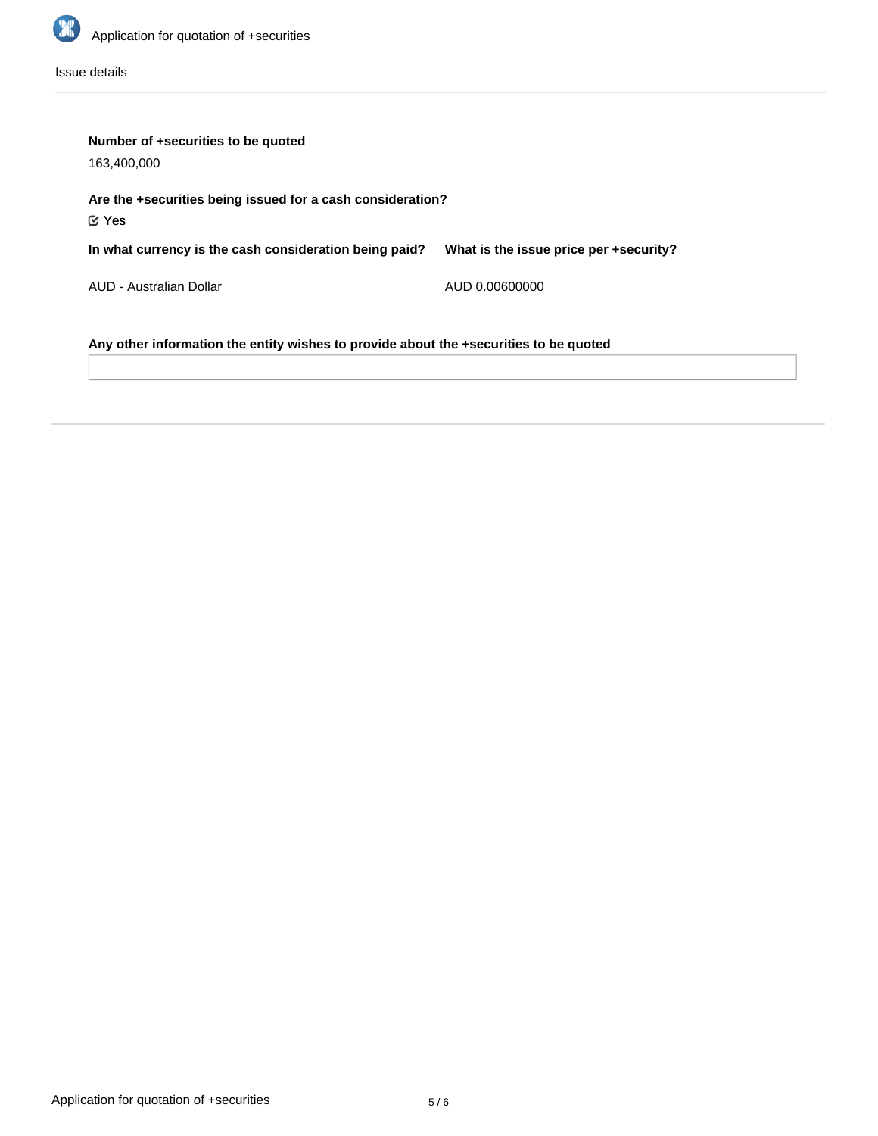

Issue details

| Number of +securities to be quoted<br>163.400.000                                     |                                        |  |  |  |
|---------------------------------------------------------------------------------------|----------------------------------------|--|--|--|
| Are the +securities being issued for a cash consideration?                            |                                        |  |  |  |
| $\mathfrak C$ Yes                                                                     |                                        |  |  |  |
| In what currency is the cash consideration being paid?                                | What is the issue price per +security? |  |  |  |
| AUD - Australian Dollar                                                               | AUD 0.00600000                         |  |  |  |
| Any other information the entity wishes to provide about the +securities to be quoted |                                        |  |  |  |